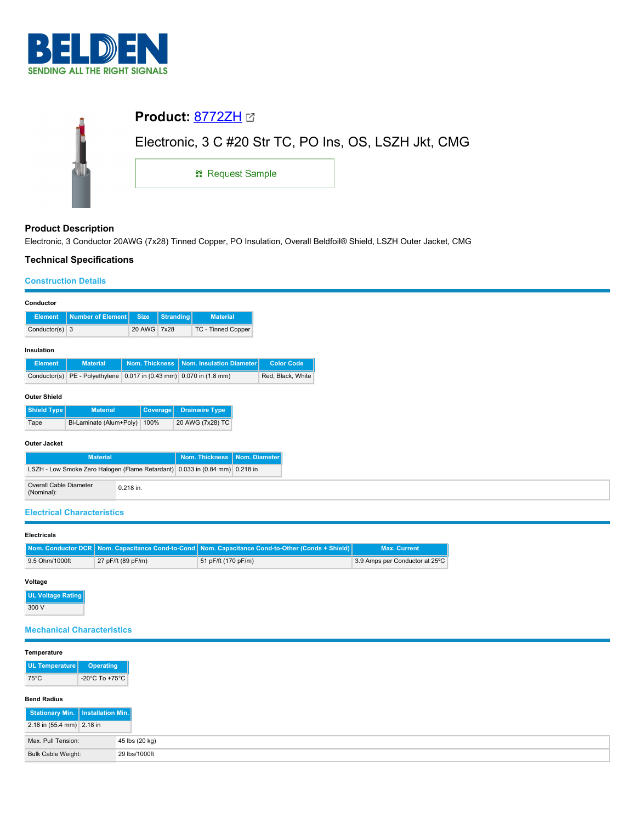

| Electronic, 3 C #20 Str TC, PO Ins, OS, LSZH Jkt, CMG |  |  |  |  |  |  |
|-------------------------------------------------------|--|--|--|--|--|--|
| <sub>11</sub> Request Sample                          |  |  |  |  |  |  |
|                                                       |  |  |  |  |  |  |

# **Product Description**

Electronic, 3 Conductor 20AWG (7x28) Tinned Copper, PO Insulation, Overall Beldfoil® Shield, LSZH Outer Jacket, CMG

# **Technical Specifications**

## **Construction Details**

| Conductor                            |                                                                             |                |           |                          |  |                   |
|--------------------------------------|-----------------------------------------------------------------------------|----------------|-----------|--------------------------|--|-------------------|
| <b>Element</b>                       | Number of Element                                                           | <b>Size</b>    | Stranding | <b>Material</b>          |  |                   |
| Conductor(s) $3$                     |                                                                             | 20 AWG 7x28    |           | TC - Tinned Copper       |  |                   |
| Insulation                           |                                                                             |                |           |                          |  |                   |
| <b>Element</b>                       | <b>Material</b>                                                             | Nom. Thickness |           | Nom. Insulation Diameter |  | <b>Color Code</b> |
|                                      | Conductor(s) PE - Polyethylene 0.017 in (0.43 mm) 0.070 in (1.8 mm)         |                |           |                          |  | Red, Black, White |
|                                      |                                                                             |                |           |                          |  |                   |
| <b>Outer Shield</b>                  |                                                                             |                |           |                          |  |                   |
| Shield Type                          | <b>Material</b>                                                             | Coverage       |           | <b>Drainwire Type</b>    |  |                   |
| Tape                                 | Bi-Laminate (Alum+Poly)                                                     | 100%           |           | 20 AWG (7x28) TC         |  |                   |
|                                      |                                                                             |                |           |                          |  |                   |
| <b>Outer Jacket</b>                  |                                                                             |                |           |                          |  |                   |
|                                      | <b>Nom. Thickness</b><br><b>Material</b><br>Nom. Diameter                   |                |           |                          |  |                   |
|                                      | LSZH - Low Smoke Zero Halogen (Flame Retardant) 0.033 in (0.84 mm) 0.218 in |                |           |                          |  |                   |
| Overall Cable Diameter<br>(Nominal): |                                                                             | 0.218 in.      |           |                          |  |                   |

## **Electrical Characteristics**

#### **Electricals**

|                |                    | Nom. Conductor DCR Nom. Capacitance Cond-to-Cond Nom. Capacitance Cond-to-Other (Conds + Shield) | <b>Max. Current</b>            |
|----------------|--------------------|--------------------------------------------------------------------------------------------------|--------------------------------|
| 9.5 Ohm/1000ft | 27 pF/ft (89 pF/m) | 51 pF/ft (170 pF/m)                                                                              | 3.9 Amps per Conductor at 25°C |

### **Voltage**

**UL Voltage Rating** 300 V

# **Mechanical Characteristics**

## **Temperature**

| <b>UL Temperature</b> | <b>Operating</b>                   |
|-----------------------|------------------------------------|
| 75°C                  | $-20^{\circ}$ C To $+75^{\circ}$ C |

#### **Bend Radius**

| Stationary Min.   Installation Min. |                |
|-------------------------------------|----------------|
| 2.18 in (55.4 mm) 2.18 in           |                |
| Max. Pull Tension:                  | 45 lbs (20 kg) |
| Bulk Cable Weight:                  | 29 lbs/1000ft  |